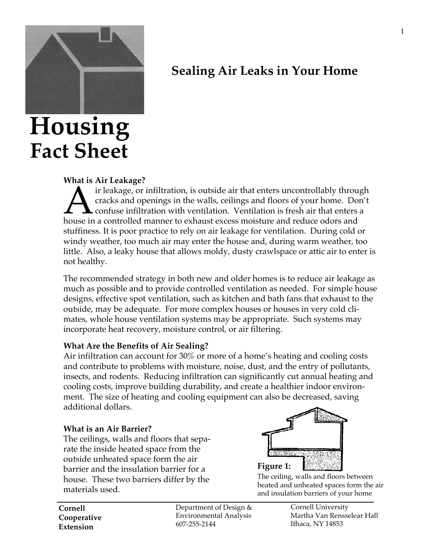

# **Housing Fact Sheet**

# **Sealing Air Leaks in Your Home**

# **What is Air Leakage?**

ir leakage, or infiltration, is outside air that enters uncontrollably through cracks and openings in the walls, ceilings and floors of your home. Don't confuse infiltration with ventilation. Ventilation is fresh air that enters a house in a controlled manner to exhaust excess moisture and reduce odors and stuffiness. It is poor practice to rely on air leakage for ventilation. During cold or windy weather, too much air may enter the house and, during warm weather, too little. Also, a leaky house that allows moldy, dusty crawlspace or attic air to enter is not healthy.

The recommended strategy in both new and older homes is to reduce air leakage as much as possible and to provide controlled ventilation as needed. For simple house designs, effective spot ventilation, such as kitchen and bath fans that exhaust to the outside, may be adequate. For more complex houses or houses in very cold climates, whole house ventilation systems may be appropriate. Such systems may incorporate heat recovery, moisture control, or air filtering.

# **What Are the Benefits of Air Sealing?**

Air infiltration can account for 30% or more of a home's heating and cooling costs and contribute to problems with moisture, noise, dust, and the entry of pollutants, insects, and rodents. Reducing infiltration can significantly cut annual heating and cooling costs, improve building durability, and create a healthier indoor environment. The size of heating and cooling equipment can also be decreased, saving additional dollars.

# **What is an Air Barrier?**

The ceilings, walls and floors that separate the inside heated space from the outside unheated space form the air barrier and the insulation barrier for a house. These two barriers differ by the materials used.



The ceiling, walls and floors between heated and unheated spaces form the air and insulation barriers of your home

**Cornell Cooperative Extension**

Department of Design & Environmental Analysis 607-255-2144

Cornell University Martha Van Rensselear Hall Ithaca, NY 14853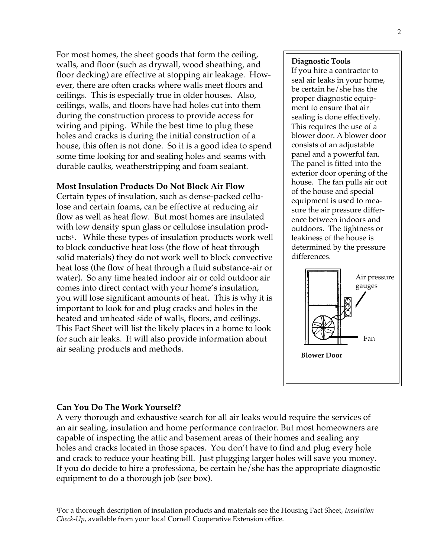For most homes, the sheet goods that form the ceiling, walls, and floor (such as drywall, wood sheathing, and floor decking) are effective at stopping air leakage. However, there are often cracks where walls meet floors and ceilings. This is especially true in older houses. Also, ceilings, walls, and floors have had holes cut into them during the construction process to provide access for wiring and piping. While the best time to plug these holes and cracks is during the initial construction of a house, this often is not done. So it is a good idea to spend some time looking for and sealing holes and seams with durable caulks, weatherstripping and foam sealant.

#### **Most Insulation Products Do Not Block Air Flow**

Certain types of insulation, such as dense-packed cellulose and certain foams, can be effective at reducing air flow as well as heat flow. But most homes are insulated with low density spun glass or cellulose insulation products<sup>1</sup>. While these types of insulation products work well to block conductive heat loss (the flow of heat through solid materials) they do not work well to block convective heat loss (the flow of heat through a fluid substance-air or water). So any time heated indoor air or cold outdoor air comes into direct contact with your home's insulation, you will lose significant amounts of heat. This is why it is important to look for and plug cracks and holes in the heated and unheated side of walls, floors, and ceilings. This Fact Sheet will list the likely places in a home to look for such air leaks. It will also provide information about air sealing products and methods.

#### **Diagnostic Tools**

If you hire a contractor to seal air leaks in your home, be certain he/she has the proper diagnostic equipment to ensure that air sealing is done effectively. This requires the use of a blower door. A blower door consists of an adjustable panel and a powerful fan. The panel is fitted into the exterior door opening of the house. The fan pulls air out of the house and special equipment is used to measure the air pressure difference between indoors and outdoors. The tightness or leakiness of the house is determined by the pressure differences.



#### **Can You Do The Work Yourself?**

A very thorough and exhaustive search for all air leaks would require the services of an air sealing, insulation and home performance contractor. But most homeowners are capable of inspecting the attic and basement areas of their homes and sealing any holes and cracks located in those spaces. You don't have to find and plug every hole and crack to reduce your heating bill. Just plugging larger holes will save you money. If you do decide to hire a professiona, be certain he/she has the appropriate diagnostic equipment to do a thorough job (see box).

1 For a thorough description of insulation products and materials see the Housing Fact Sheet, *Insulation Check-Up*, available from your local Cornell Cooperative Extension office.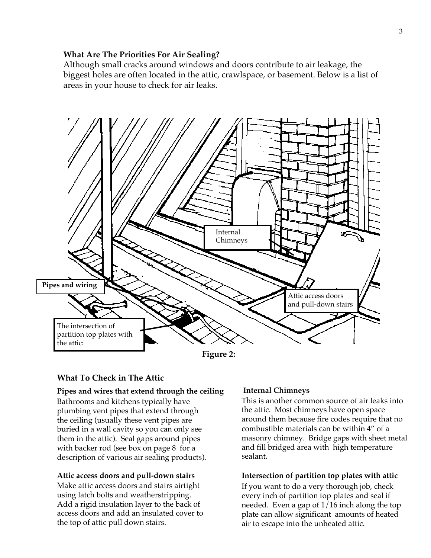#### **What Are The Priorities For Air Sealing?**

Although small cracks around windows and doors contribute to air leakage, the biggest holes are often located in the attic, crawlspace, or basement. Below is a list of areas in your house to check for air leaks.



**Figure 2:**

#### **What To Check in The Attic**

#### **Pipes and wires that extend through the ceiling**

Bathrooms and kitchens typically have plumbing vent pipes that extend through the ceiling (usually these vent pipes are buried in a wall cavity so you can only see them in the attic). Seal gaps around pipes with backer rod (see box on page 8 for a description of various air sealing products).

#### **Attic access doors and pull-down stairs**

Make attic access doors and stairs airtight using latch bolts and weatherstripping. Add a rigid insulation layer to the back of access doors and add an insulated cover to the top of attic pull down stairs.

#### **Internal Chimneys**

This is another common source of air leaks into the attic. Most chimneys have open space around them because fire codes require that no combustible materials can be within 4" of a masonry chimney. Bridge gaps with sheet metal and fill bridged area with high temperature sealant.

#### **Intersection of partition top plates with attic**

If you want to do a very thorough job, check every inch of partition top plates and seal if needed. Even a gap of 1/16 inch along the top plate can allow significant amounts of heated air to escape into the unheated attic.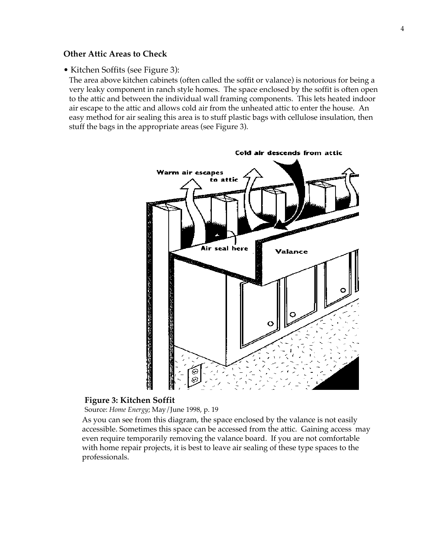#### **Other Attic Areas to Check**

• Kitchen Soffits (see Figure 3):

The area above kitchen cabinets (often called the soffit or valance) is notorious for being a very leaky component in ranch style homes. The space enclosed by the soffit is often open to the attic and between the individual wall framing components. This lets heated indoor air escape to the attic and allows cold air from the unheated attic to enter the house. An easy method for air sealing this area is to stuff plastic bags with cellulose insulation, then stuff the bags in the appropriate areas (see Figure 3).



#### **Figure 3: Kitchen Soffit**

Source: *Home Energy*; May/June 1998, p. 19

As you can see from this diagram, the space enclosed by the valance is not easily accessible. Sometimes this space can be accessed from the attic. Gaining access may even require temporarily removing the valance board. If you are not comfortable with home repair projects, it is best to leave air sealing of these type spaces to the professionals.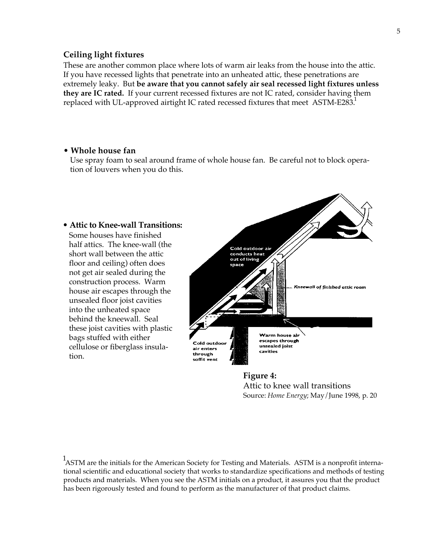#### **Ceiling light fixtures**

These are another common place where lots of warm air leaks from the house into the attic. If you have recessed lights that penetrate into an unheated attic, these penetrations are extremely leaky. But **be aware that you cannot safely air seal recessed light fixtures unless they are IC rated.** If your current recessed fixtures are not IC rated, consider having them replaced with UL-approved airtight IC rated recessed fixtures that meet ASTM-E283.

#### • **Whole house fan**

Use spray foam to seal around frame of whole house fan. Be careful not to block operation of louvers when you do this.



#### **Figure 4:** Attic to knee wall transitions Source: *Home Energy*; May/June 1998, p. 20

ASTM are the initials for the American Society for Testing and Materials. ASTM is a nonprofit interna-1 tional scientific and educational society that works to standardize specifications and methods of testing products and materials. When you see the ASTM initials on a product, it assures you that the product has been rigorously tested and found to perform as the manufacturer of that product claims.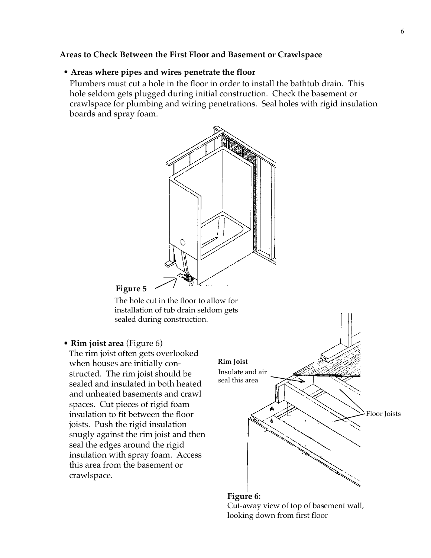#### **Areas to Check Between the First Floor and Basement or Crawlspace**

#### • **Areas where pipes and wires penetrate the floor**

Plumbers must cut a hole in the floor in order to install the bathtub drain. This hole seldom gets plugged during initial construction. Check the basement or crawlspace for plumbing and wiring penetrations. Seal holes with rigid insulation boards and spray foam.



**Figure 5**

The hole cut in the floor to allow for installation of tub drain seldom gets sealed during construction.

• **Rim joist area** (Figure 6)

The rim joist often gets overlooked when houses are initially constructed. The rim joist should be sealed and insulated in both heated and unheated basements and crawl spaces. Cut pieces of rigid foam insulation to fit between the floor joists. Push the rigid insulation snugly against the rim joist and then seal the edges around the rigid insulation with spray foam. Access this area from the basement or crawlspace.



**Figure 6:** Cut-away view of top of basement wall, looking down from first floor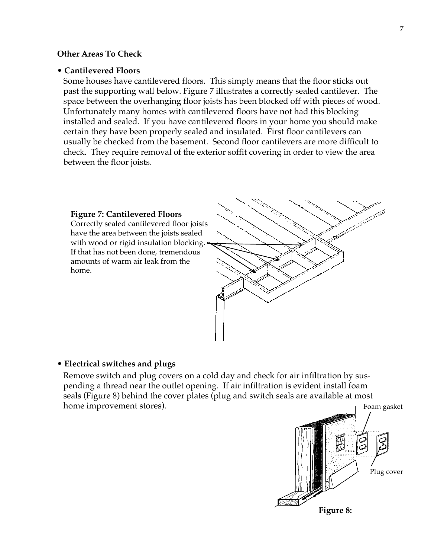#### **Other Areas To Check**

#### • **Cantilevered Floors**

Some houses have cantilevered floors. This simply means that the floor sticks out past the supporting wall below. Figure 7 illustrates a correctly sealed cantilever. The space between the overhanging floor joists has been blocked off with pieces of wood. Unfortunately many homes with cantilevered floors have not had this blocking installed and sealed. If you have cantilevered floors in your home you should make certain they have been properly sealed and insulated. First floor cantilevers can usually be checked from the basement. Second floor cantilevers are more difficult to check. They require removal of the exterior soffit covering in order to view the area between the floor joists.



#### • **Electrical switches and plugs**

Remove switch and plug covers on a cold day and check for air infiltration by suspending a thread near the outlet opening. If air infiltration is evident install foam seals (Figure 8) behind the cover plates (plug and switch seals are available at most home improvement stores).